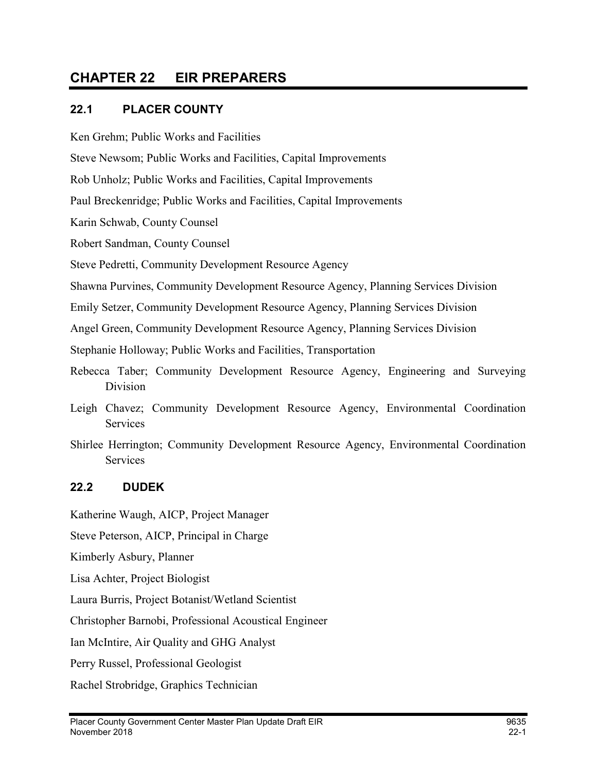# CHAPTER 22 EIR PREPARERS

#### 22.1 PLACER COUNTY

Ken Grehm; Public Works and Facilities

Steve Newsom; Public Works and Facilities, Capital Improvements

Rob Unholz; Public Works and Facilities, Capital Improvements

Paul Breckenridge; Public Works and Facilities, Capital Improvements

Karin Schwab, County Counsel

Robert Sandman, County Counsel

Steve Pedretti, Community Development Resource Agency

Shawna Purvines, Community Development Resource Agency, Planning Services Division

Emily Setzer, Community Development Resource Agency, Planning Services Division

Angel Green, Community Development Resource Agency, Planning Services Division

Stephanie Holloway; Public Works and Facilities, Transportation

- Rebecca Taber; Community Development Resource Agency, Engineering and Surveying Division
- Leigh Chavez; Community Development Resource Agency, Environmental Coordination Services
- Shirlee Herrington; Community Development Resource Agency, Environmental Coordination Services

## 22.2 DUDEK

Katherine Waugh, AICP, Project Manager

Steve Peterson, AICP, Principal in Charge

Kimberly Asbury, Planner

Lisa Achter, Project Biologist

Laura Burris, Project Botanist/Wetland Scientist

Christopher Barnobi, Professional Acoustical Engineer

Ian McIntire, Air Quality and GHG Analyst

Perry Russel, Professional Geologist

Rachel Strobridge, Graphics Technician